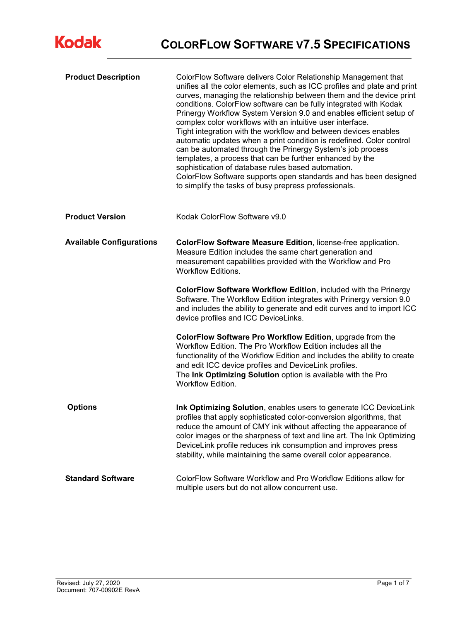| <b>Product Description</b>      | ColorFlow Software delivers Color Relationship Management that<br>unifies all the color elements, such as ICC profiles and plate and print<br>curves, managing the relationship between them and the device print<br>conditions. ColorFlow software can be fully integrated with Kodak<br>Prinergy Workflow System Version 9.0 and enables efficient setup of<br>complex color workflows with an intuitive user interface.<br>Tight integration with the workflow and between devices enables<br>automatic updates when a print condition is redefined. Color control<br>can be automated through the Prinergy System's job process<br>templates, a process that can be further enhanced by the<br>sophistication of database rules based automation.<br>ColorFlow Software supports open standards and has been designed<br>to simplify the tasks of busy prepress professionals. |
|---------------------------------|------------------------------------------------------------------------------------------------------------------------------------------------------------------------------------------------------------------------------------------------------------------------------------------------------------------------------------------------------------------------------------------------------------------------------------------------------------------------------------------------------------------------------------------------------------------------------------------------------------------------------------------------------------------------------------------------------------------------------------------------------------------------------------------------------------------------------------------------------------------------------------|
| <b>Product Version</b>          | Kodak ColorFlow Software v9.0                                                                                                                                                                                                                                                                                                                                                                                                                                                                                                                                                                                                                                                                                                                                                                                                                                                      |
| <b>Available Configurations</b> | ColorFlow Software Measure Edition, license-free application.<br>Measure Edition includes the same chart generation and<br>measurement capabilities provided with the Workflow and Pro<br><b>Workflow Editions.</b>                                                                                                                                                                                                                                                                                                                                                                                                                                                                                                                                                                                                                                                                |
|                                 | ColorFlow Software Workflow Edition, included with the Prinergy<br>Software. The Workflow Edition integrates with Prinergy version 9.0<br>and includes the ability to generate and edit curves and to import ICC<br>device profiles and ICC DeviceLinks.                                                                                                                                                                                                                                                                                                                                                                                                                                                                                                                                                                                                                           |
|                                 | ColorFlow Software Pro Workflow Edition, upgrade from the<br>Workflow Edition. The Pro Workflow Edition includes all the<br>functionality of the Workflow Edition and includes the ability to create<br>and edit ICC device profiles and DeviceLink profiles.<br>The Ink Optimizing Solution option is available with the Pro<br><b>Workflow Edition.</b>                                                                                                                                                                                                                                                                                                                                                                                                                                                                                                                          |
| <b>Options</b>                  | Ink Optimizing Solution, enables users to generate ICC DeviceLink<br>profiles that apply sophisticated color-conversion algorithms, that<br>reduce the amount of CMY ink without affecting the appearance of<br>color images or the sharpness of text and line art. The Ink Optimizing<br>DeviceLink profile reduces ink consumption and improves press<br>stability, while maintaining the same overall color appearance.                                                                                                                                                                                                                                                                                                                                                                                                                                                         |
| <b>Standard Software</b>        | ColorFlow Software Workflow and Pro Workflow Editions allow for<br>multiple users but do not allow concurrent use.                                                                                                                                                                                                                                                                                                                                                                                                                                                                                                                                                                                                                                                                                                                                                                 |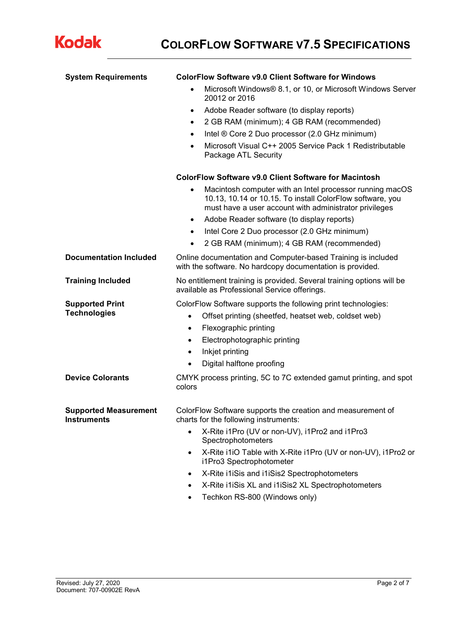

| <b>System Requirements</b>                         | <b>ColorFlow Software v9.0 Client Software for Windows</b>                                                                                                                                                                                                                                                                                                                      |  |  |
|----------------------------------------------------|---------------------------------------------------------------------------------------------------------------------------------------------------------------------------------------------------------------------------------------------------------------------------------------------------------------------------------------------------------------------------------|--|--|
|                                                    | Microsoft Windows® 8.1, or 10, or Microsoft Windows Server<br>20012 or 2016                                                                                                                                                                                                                                                                                                     |  |  |
|                                                    | Adobe Reader software (to display reports)<br>$\bullet$                                                                                                                                                                                                                                                                                                                         |  |  |
|                                                    | 2 GB RAM (minimum); 4 GB RAM (recommended)<br>$\bullet$                                                                                                                                                                                                                                                                                                                         |  |  |
|                                                    | Intel ® Core 2 Duo processor (2.0 GHz minimum)<br>$\bullet$                                                                                                                                                                                                                                                                                                                     |  |  |
|                                                    | Microsoft Visual C++ 2005 Service Pack 1 Redistributable<br>$\bullet$<br>Package ATL Security                                                                                                                                                                                                                                                                                   |  |  |
|                                                    | ColorFlow Software v9.0 Client Software for Macintosh                                                                                                                                                                                                                                                                                                                           |  |  |
|                                                    | Macintosh computer with an Intel processor running macOS<br>$\bullet$<br>10.13, 10.14 or 10.15. To install ColorFlow software, you<br>must have a user account with administrator privileges<br>Adobe Reader software (to display reports)<br>$\bullet$<br>Intel Core 2 Duo processor (2.0 GHz minimum)<br>$\bullet$<br>2 GB RAM (minimum); 4 GB RAM (recommended)<br>$\bullet$ |  |  |
| <b>Documentation Included</b>                      | Online documentation and Computer-based Training is included<br>with the software. No hardcopy documentation is provided.                                                                                                                                                                                                                                                       |  |  |
| <b>Training Included</b>                           | No entitlement training is provided. Several training options will be<br>available as Professional Service offerings.                                                                                                                                                                                                                                                           |  |  |
| <b>Supported Print</b><br><b>Technologies</b>      | ColorFlow Software supports the following print technologies:<br>Offset printing (sheetfed, heatset web, coldset web)<br>$\bullet$<br>Flexographic printing<br>$\bullet$<br>Electrophotographic printing<br>$\bullet$<br>Inkjet printing<br>$\bullet$<br>Digital halftone proofing<br>$\bullet$                                                                                 |  |  |
| <b>Device Colorants</b>                            | CMYK process printing, 5C to 7C extended gamut printing, and spot<br>colors                                                                                                                                                                                                                                                                                                     |  |  |
| <b>Supported Measurement</b><br><b>Instruments</b> | ColorFlow Software supports the creation and measurement of<br>charts for the following instruments:                                                                                                                                                                                                                                                                            |  |  |
|                                                    | X-Rite i1Pro (UV or non-UV), i1Pro2 and i1Pro3<br>Spectrophotometers                                                                                                                                                                                                                                                                                                            |  |  |
|                                                    | X-Rite i1iO Table with X-Rite i1Pro (UV or non-UV), i1Pro2 or<br>$\bullet$<br>i1Pro3 Spectrophotometer                                                                                                                                                                                                                                                                          |  |  |
|                                                    | X-Rite i1iSis and i1iSis2 Spectrophotometers<br>$\bullet$                                                                                                                                                                                                                                                                                                                       |  |  |
|                                                    | X-Rite i1iSis XL and i1iSis2 XL Spectrophotometers                                                                                                                                                                                                                                                                                                                              |  |  |
|                                                    | Techkon RS-800 (Windows only)                                                                                                                                                                                                                                                                                                                                                   |  |  |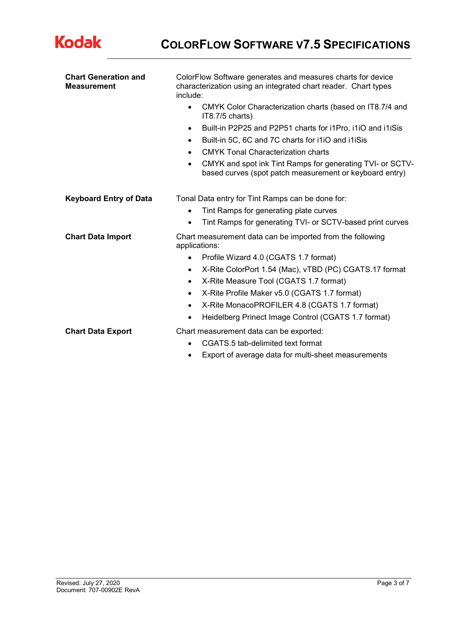

| <b>Chart Generation and</b><br><b>Measurement</b> | ColorFlow Software generates and measures charts for device<br>characterization using an integrated chart reader. Chart types<br>include: |  |  |  |  |  |
|---------------------------------------------------|-------------------------------------------------------------------------------------------------------------------------------------------|--|--|--|--|--|
|                                                   | CMYK Color Characterization charts (based on IT8.7/4 and<br>$\bullet$<br>IT8.7/5 charts)                                                  |  |  |  |  |  |
|                                                   | Built-in P2P25 and P2P51 charts for i1Pro, i1iO and i1iSis<br>$\bullet$<br>Built-in 5C, 6C and 7C charts for i1iO and i1iSis<br>٠         |  |  |  |  |  |
|                                                   |                                                                                                                                           |  |  |  |  |  |
|                                                   | <b>CMYK Tonal Characterization charts</b><br>$\bullet$                                                                                    |  |  |  |  |  |
|                                                   | CMYK and spot ink Tint Ramps for generating TVI- or SCTV-<br>٠<br>based curves (spot patch measurement or keyboard entry)                 |  |  |  |  |  |
| <b>Keyboard Entry of Data</b>                     | Tonal Data entry for Tint Ramps can be done for:                                                                                          |  |  |  |  |  |
|                                                   | Tint Ramps for generating plate curves<br>$\bullet$                                                                                       |  |  |  |  |  |
|                                                   | Tint Ramps for generating TVI- or SCTV-based print curves                                                                                 |  |  |  |  |  |
| <b>Chart Data Import</b>                          | Chart measurement data can be imported from the following<br>applications:                                                                |  |  |  |  |  |
|                                                   | Profile Wizard 4.0 (CGATS 1.7 format)<br>$\bullet$                                                                                        |  |  |  |  |  |
|                                                   | X-Rite ColorPort 1.54 (Mac), vTBD (PC) CGATS.17 format<br>$\bullet$                                                                       |  |  |  |  |  |
|                                                   | X-Rite Measure Tool (CGATS 1.7 format)<br>$\bullet$                                                                                       |  |  |  |  |  |
|                                                   | X-Rite Profile Maker v5.0 (CGATS 1.7 format)<br>$\bullet$                                                                                 |  |  |  |  |  |
|                                                   | X-Rite MonacoPROFILER 4.8 (CGATS 1.7 format)<br>$\bullet$                                                                                 |  |  |  |  |  |
|                                                   | Heidelberg Prinect Image Control (CGATS 1.7 format)<br>٠                                                                                  |  |  |  |  |  |
| <b>Chart Data Export</b>                          | Chart measurement data can be exported:                                                                                                   |  |  |  |  |  |
|                                                   | CGATS.5 tab-delimited text format                                                                                                         |  |  |  |  |  |
|                                                   | Export of average data for multi-sheet measurements<br>٠                                                                                  |  |  |  |  |  |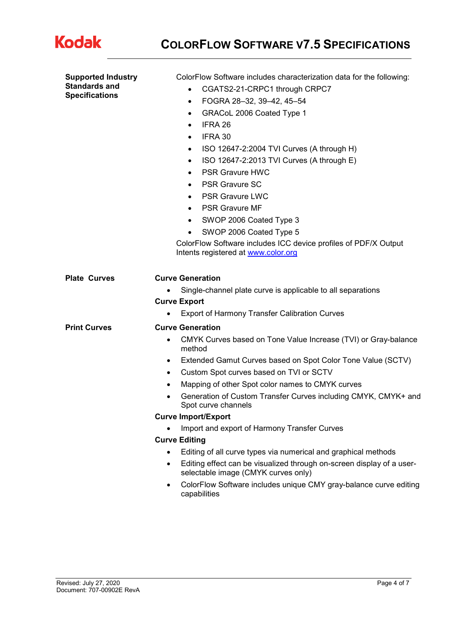

**COLORFLOW SOFTWARE V7.5 SPECIFICATIONS**

| <b>Supported Industry</b>                     | ColorFlow Software includes characterization data for the following:                                         |  |  |  |  |
|-----------------------------------------------|--------------------------------------------------------------------------------------------------------------|--|--|--|--|
| <b>Standards and</b><br><b>Specifications</b> | CGATS2-21-CRPC1 through CRPC7<br>$\bullet$                                                                   |  |  |  |  |
|                                               | FOGRA 28-32, 39-42, 45-54<br>$\bullet$                                                                       |  |  |  |  |
|                                               | GRACoL 2006 Coated Type 1<br>$\bullet$                                                                       |  |  |  |  |
|                                               | IFRA 26<br>$\bullet$                                                                                         |  |  |  |  |
|                                               | IFRA 30<br>$\bullet$                                                                                         |  |  |  |  |
|                                               | ISO 12647-2:2004 TVI Curves (A through H)<br>$\bullet$                                                       |  |  |  |  |
|                                               | ISO 12647-2:2013 TVI Curves (A through E)<br>$\bullet$                                                       |  |  |  |  |
|                                               | <b>PSR Gravure HWC</b><br>$\bullet$                                                                          |  |  |  |  |
|                                               | <b>PSR Gravure SC</b><br>$\bullet$                                                                           |  |  |  |  |
|                                               | <b>PSR Gravure LWC</b><br>$\bullet$                                                                          |  |  |  |  |
|                                               | <b>PSR Gravure MF</b><br>$\bullet$                                                                           |  |  |  |  |
|                                               | SWOP 2006 Coated Type 3<br>$\bullet$                                                                         |  |  |  |  |
|                                               | SWOP 2006 Coated Type 5<br>$\bullet$                                                                         |  |  |  |  |
|                                               | ColorFlow Software includes ICC device profiles of PDF/X Output<br>Intents registered at www.color.org       |  |  |  |  |
| <b>Plate Curves</b>                           | <b>Curve Generation</b>                                                                                      |  |  |  |  |
|                                               | Single-channel plate curve is applicable to all separations                                                  |  |  |  |  |
|                                               | <b>Curve Export</b>                                                                                          |  |  |  |  |
|                                               | <b>Export of Harmony Transfer Calibration Curves</b>                                                         |  |  |  |  |
| <b>Print Curves</b>                           | <b>Curve Generation</b>                                                                                      |  |  |  |  |
|                                               | CMYK Curves based on Tone Value Increase (TVI) or Gray-balance<br>$\bullet$<br>method                        |  |  |  |  |
|                                               | Extended Gamut Curves based on Spot Color Tone Value (SCTV)<br>$\bullet$                                     |  |  |  |  |
|                                               | Custom Spot curves based on TVI or SCTV<br>$\bullet$                                                         |  |  |  |  |
|                                               | Mapping of other Spot color names to CMYK curves<br>$\bullet$                                                |  |  |  |  |
|                                               | Generation of Custom Transfer Curves including CMYK, CMYK+ and<br>Spot curve channels                        |  |  |  |  |
|                                               | <b>Curve Import/Export</b>                                                                                   |  |  |  |  |
|                                               | Import and export of Harmony Transfer Curves                                                                 |  |  |  |  |
|                                               | <b>Curve Editing</b>                                                                                         |  |  |  |  |
|                                               | Editing of all curve types via numerical and graphical methods                                               |  |  |  |  |
|                                               | Editing effect can be visualized through on-screen display of a user-<br>selectable image (CMYK curves only) |  |  |  |  |
|                                               | ColorFlow Software includes unique CMY gray-balance curve editing<br>$\bullet$<br>capabilities               |  |  |  |  |
|                                               |                                                                                                              |  |  |  |  |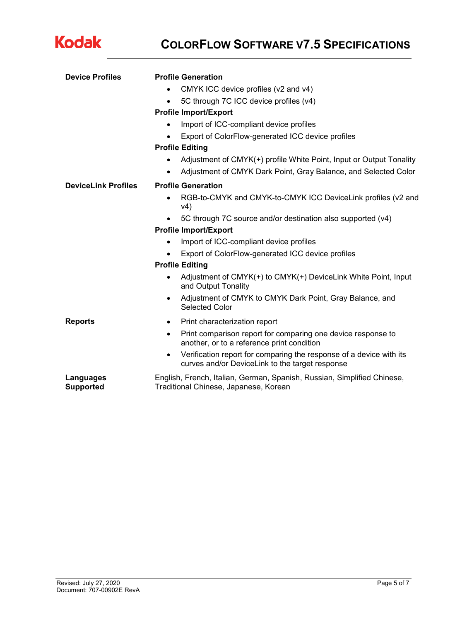

## **COLORFLOW SOFTWARE V7.5 SPECIFICATIONS**

| <b>Device Profiles</b>        | <b>Profile Generation</b>                                                                                                           |  |  |  |  |
|-------------------------------|-------------------------------------------------------------------------------------------------------------------------------------|--|--|--|--|
|                               | CMYK ICC device profiles (v2 and v4)                                                                                                |  |  |  |  |
|                               | 5C through 7C ICC device profiles (v4)<br>$\bullet$                                                                                 |  |  |  |  |
|                               | <b>Profile Import/Export</b>                                                                                                        |  |  |  |  |
|                               | Import of ICC-compliant device profiles                                                                                             |  |  |  |  |
|                               | Export of ColorFlow-generated ICC device profiles                                                                                   |  |  |  |  |
|                               | <b>Profile Editing</b>                                                                                                              |  |  |  |  |
|                               | Adjustment of CMYK(+) profile White Point, Input or Output Tonality<br>$\bullet$                                                    |  |  |  |  |
|                               | Adjustment of CMYK Dark Point, Gray Balance, and Selected Color<br>$\bullet$                                                        |  |  |  |  |
| <b>DeviceLink Profiles</b>    | <b>Profile Generation</b>                                                                                                           |  |  |  |  |
|                               | RGB-to-CMYK and CMYK-to-CMYK ICC DeviceLink profiles (v2 and<br>v4)                                                                 |  |  |  |  |
|                               | 5C through 7C source and/or destination also supported (v4)                                                                         |  |  |  |  |
|                               | <b>Profile Import/Export</b>                                                                                                        |  |  |  |  |
|                               | Import of ICC-compliant device profiles<br>$\bullet$                                                                                |  |  |  |  |
|                               | Export of ColorFlow-generated ICC device profiles                                                                                   |  |  |  |  |
|                               | <b>Profile Editing</b>                                                                                                              |  |  |  |  |
|                               | Adjustment of CMYK(+) to CMYK(+) DeviceLink White Point, Input<br>٠<br>and Output Tonality                                          |  |  |  |  |
|                               | Adjustment of CMYK to CMYK Dark Point, Gray Balance, and<br>$\bullet$<br>Selected Color                                             |  |  |  |  |
| <b>Reports</b>                | Print characterization report<br>$\bullet$                                                                                          |  |  |  |  |
|                               | Print comparison report for comparing one device response to<br>$\bullet$<br>another, or to a reference print condition             |  |  |  |  |
|                               | Verification report for comparing the response of a device with its<br>$\bullet$<br>curves and/or DeviceLink to the target response |  |  |  |  |
| Languages<br><b>Supported</b> | English, French, Italian, German, Spanish, Russian, Simplified Chinese,<br>Traditional Chinese, Japanese, Korean                    |  |  |  |  |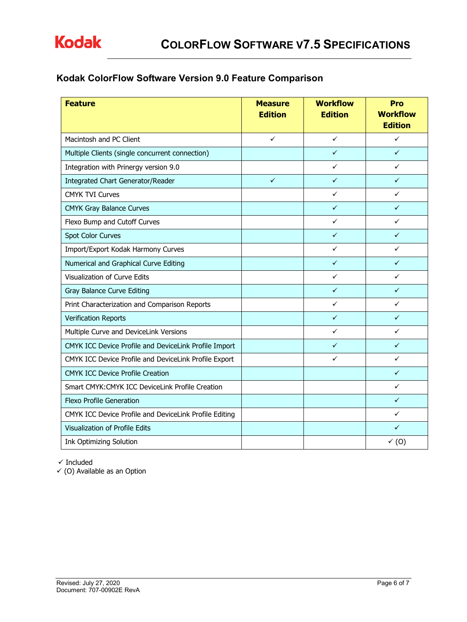## **Kodak ColorFlow Software Version 9.0 Feature Comparison**

| <b>Feature</b>                                         | <b>Measure</b><br><b>Edition</b> | <b>Workflow</b><br><b>Edition</b> | Pro<br><b>Workflow</b><br><b>Edition</b> |
|--------------------------------------------------------|----------------------------------|-----------------------------------|------------------------------------------|
| Macintosh and PC Client                                | $\checkmark$                     | ✓                                 | ✓                                        |
| Multiple Clients (single concurrent connection)        |                                  | $\checkmark$                      | $\checkmark$                             |
| Integration with Prinergy version 9.0                  |                                  | ✓                                 | ✓                                        |
| Integrated Chart Generator/Reader                      | $\checkmark$                     | $\checkmark$                      | $\checkmark$                             |
| <b>CMYK TVI Curves</b>                                 |                                  | ✓                                 | $\checkmark$                             |
| <b>CMYK Gray Balance Curves</b>                        |                                  | $\checkmark$                      | $\checkmark$                             |
| Flexo Bump and Cutoff Curves                           |                                  | ✓                                 | ✓                                        |
| Spot Color Curves                                      |                                  | $\checkmark$                      | ✓                                        |
| Import/Export Kodak Harmony Curves                     |                                  | ✓                                 | ✓                                        |
| Numerical and Graphical Curve Editing                  |                                  | $\checkmark$                      | ✓                                        |
| Visualization of Curve Edits                           |                                  | ✓                                 | ✓                                        |
| Gray Balance Curve Editing                             |                                  | ✓                                 | ✓                                        |
| Print Characterization and Comparison Reports          |                                  | ✓                                 | ✓                                        |
| <b>Verification Reports</b>                            |                                  | ✓                                 | ✓                                        |
| Multiple Curve and DeviceLink Versions                 |                                  | ✓                                 | ✓                                        |
| CMYK ICC Device Profile and DeviceLink Profile Import  |                                  | ✓                                 | $\checkmark$                             |
| CMYK ICC Device Profile and DeviceLink Profile Export  |                                  | ✓                                 | ✓                                        |
| <b>CMYK ICC Device Profile Creation</b>                |                                  |                                   | ✓                                        |
| Smart CMYK: CMYK ICC DeviceLink Profile Creation       |                                  |                                   | ✓                                        |
| <b>Flexo Profile Generation</b>                        |                                  |                                   | $\checkmark$                             |
| CMYK ICC Device Profile and DeviceLink Profile Editing |                                  |                                   | ✓                                        |
| Visualization of Profile Edits                         |                                  |                                   | ✓                                        |
| <b>Ink Optimizing Solution</b>                         |                                  |                                   | $\checkmark$ (0)                         |

 $\checkmark$  Included

 $\checkmark$  (O) Available as an Option